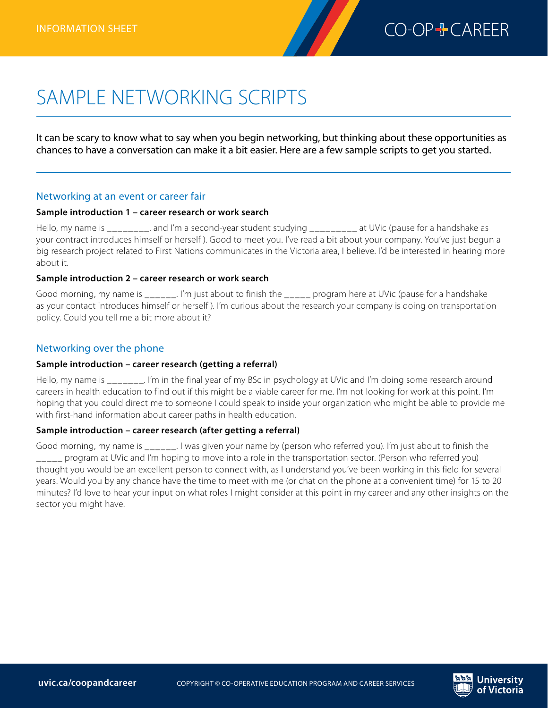

# SAMPLE NETWORKING SCRIPTS

It can be scary to know what to say when you begin networking, but thinking about these opportunities as chances to have a conversation can make it a bit easier. Here are a few sample scripts to get you started.

# Networking at an event or career fair

### **Sample introduction 1 – career research or work search**

Hello, my name is equal that is and I'm a second-year student studying a set UVic (pause for a handshake as your contract introduces himself or herself ). Good to meet you. I've read a bit about your company. You've just begun a big research project related to First Nations communicates in the Victoria area, I believe. I'd be interested in hearing more about it.

## **Sample introduction 2 – career research or work search**

Good morning, my name is \_\_\_\_\_\_. I'm just about to finish the \_\_\_\_\_ program here at UVic (pause for a handshake as your contact introduces himself or herself ). I'm curious about the research your company is doing on transportation policy. Could you tell me a bit more about it?

# Networking over the phone

### **Sample introduction – career research (getting a referral)**

Hello, my name is Fig. I'm in the final year of my BSc in psychology at UVic and I'm doing some research around careers in health education to find out if this might be a viable career for me. I'm not looking for work at this point. I'm hoping that you could direct me to someone I could speak to inside your organization who might be able to provide me with first-hand information about career paths in health education.

## **Sample introduction – career research (after getting a referral)**

Good morning, my name is \_\_\_\_\_\_. I was given your name by (person who referred you). I'm just about to finish the program at UVic and I'm hoping to move into a role in the transportation sector. (Person who referred you) thought you would be an excellent person to connect with, as I understand you've been working in this field for several years. Would you by any chance have the time to meet with me (or chat on the phone at a convenient time) for 15 to 20 minutes? I'd love to hear your input on what roles I might consider at this point in my career and any other insights on the sector you might have.